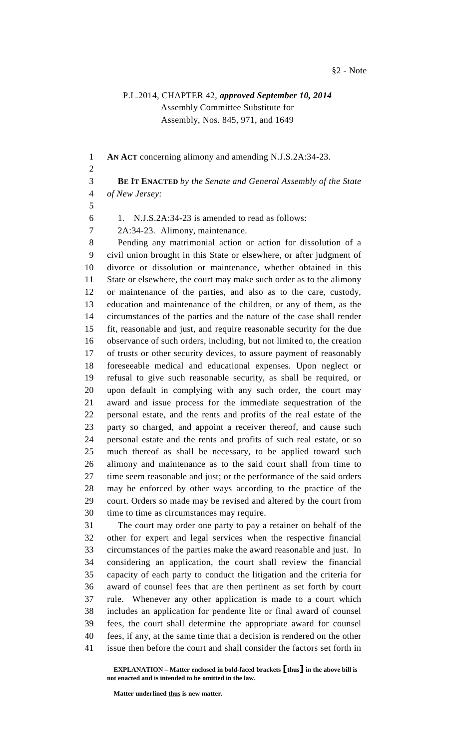#### P.L.2014, CHAPTER 42, *approved September 10, 2014* Assembly Committee Substitute for Assembly, Nos. 845, 971, and 1649

1 **AN ACT** concerning alimony and amending N.J.S.2A:34-23.

2

3 **BE IT ENACTED** *by the Senate and General Assembly of the State*  4 *of New Jersey:* 

5

6 1. N.J.S.2A:34-23 is amended to read as follows:

7 2A:34-23. Alimony, maintenance.

8 Pending any matrimonial action or action for dissolution of a 9 civil union brought in this State or elsewhere, or after judgment of 10 divorce or dissolution or maintenance, whether obtained in this 11 State or elsewhere, the court may make such order as to the alimony 12 or maintenance of the parties, and also as to the care, custody, 13 education and maintenance of the children, or any of them, as the 14 circumstances of the parties and the nature of the case shall render 15 fit, reasonable and just, and require reasonable security for the due 16 observance of such orders, including, but not limited to, the creation 17 of trusts or other security devices, to assure payment of reasonably 18 foreseeable medical and educational expenses. Upon neglect or 19 refusal to give such reasonable security, as shall be required, or 20 upon default in complying with any such order, the court may 21 award and issue process for the immediate sequestration of the 22 personal estate, and the rents and profits of the real estate of the 23 party so charged, and appoint a receiver thereof, and cause such 24 personal estate and the rents and profits of such real estate, or so 25 much thereof as shall be necessary, to be applied toward such 26 alimony and maintenance as to the said court shall from time to 27 time seem reasonable and just; or the performance of the said orders 28 may be enforced by other ways according to the practice of the 29 court. Orders so made may be revised and altered by the court from 30 time to time as circumstances may require.

31 The court may order one party to pay a retainer on behalf of the 32 other for expert and legal services when the respective financial 33 circumstances of the parties make the award reasonable and just. In 34 considering an application, the court shall review the financial 35 capacity of each party to conduct the litigation and the criteria for 36 award of counsel fees that are then pertinent as set forth by court 37 rule. Whenever any other application is made to a court which 38 includes an application for pendente lite or final award of counsel 39 fees, the court shall determine the appropriate award for counsel 40 fees, if any, at the same time that a decision is rendered on the other 41 issue then before the court and shall consider the factors set forth in

 **EXPLANATION – Matter enclosed in bold-faced brackets** [**thus**] **in the above bill is not enacted and is intended to be omitted in the law.** 

 **Matter underlined thus is new matter.**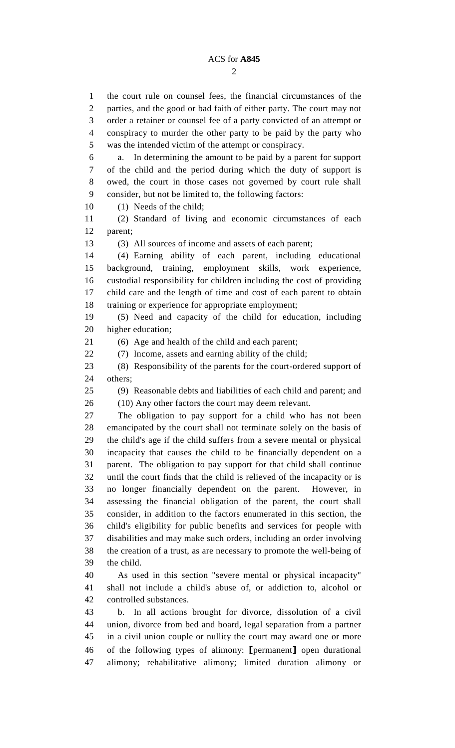$\mathcal{D}$ 

1 the court rule on counsel fees, the financial circumstances of the 2 parties, and the good or bad faith of either party. The court may not 3 order a retainer or counsel fee of a party convicted of an attempt or 4 conspiracy to murder the other party to be paid by the party who 5 was the intended victim of the attempt or conspiracy. 6 a. In determining the amount to be paid by a parent for support 7 of the child and the period during which the duty of support is 8 owed, the court in those cases not governed by court rule shall 9 consider, but not be limited to, the following factors: 10 (1) Needs of the child; 11 (2) Standard of living and economic circumstances of each 12 parent; 13 (3) All sources of income and assets of each parent; 14 (4) Earning ability of each parent, including educational 15 background, training, employment skills, work experience, 16 custodial responsibility for children including the cost of providing 17 child care and the length of time and cost of each parent to obtain 18 training or experience for appropriate employment; 19 (5) Need and capacity of the child for education, including 20 higher education; 21 (6) Age and health of the child and each parent; 22 (7) Income, assets and earning ability of the child; 23 (8) Responsibility of the parents for the court-ordered support of 24 others; 25 (9) Reasonable debts and liabilities of each child and parent; and 26 (10) Any other factors the court may deem relevant. 27 The obligation to pay support for a child who has not been 28 emancipated by the court shall not terminate solely on the basis of 29 the child's age if the child suffers from a severe mental or physical 30 incapacity that causes the child to be financially dependent on a 31 parent. The obligation to pay support for that child shall continue 32 until the court finds that the child is relieved of the incapacity or is 33 no longer financially dependent on the parent. However, in 34 assessing the financial obligation of the parent, the court shall 35 consider, in addition to the factors enumerated in this section, the 36 child's eligibility for public benefits and services for people with 37 disabilities and may make such orders, including an order involving 38 the creation of a trust, as are necessary to promote the well-being of 39 the child. 40 As used in this section "severe mental or physical incapacity" 41 shall not include a child's abuse of, or addiction to, alcohol or 42 controlled substances. 43 b. In all actions brought for divorce, dissolution of a civil 44 union, divorce from bed and board, legal separation from a partner 45 in a civil union couple or nullity the court may award one or more 46 of the following types of alimony: [permanent] open durational 47 alimony; rehabilitative alimony; limited duration alimony or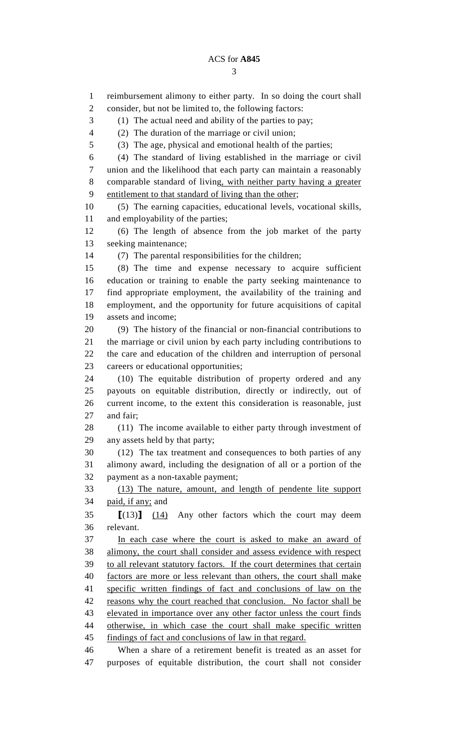1 reimbursement alimony to either party. In so doing the court shall 2 consider, but not be limited to, the following factors: 3 (1) The actual need and ability of the parties to pay; 4 (2) The duration of the marriage or civil union; 5 (3) The age, physical and emotional health of the parties; 6 (4) The standard of living established in the marriage or civil 7 union and the likelihood that each party can maintain a reasonably 8 comparable standard of living, with neither party having a greater 9 entitlement to that standard of living than the other; 10 (5) The earning capacities, educational levels, vocational skills, 11 and employability of the parties; 12 (6) The length of absence from the job market of the party 13 seeking maintenance; 14 (7) The parental responsibilities for the children; 15 (8) The time and expense necessary to acquire sufficient 16 education or training to enable the party seeking maintenance to 17 find appropriate employment, the availability of the training and 18 employment, and the opportunity for future acquisitions of capital 19 assets and income; 20 (9) The history of the financial or non-financial contributions to 21 the marriage or civil union by each party including contributions to 22 the care and education of the children and interruption of personal 23 careers or educational opportunities; 24 (10) The equitable distribution of property ordered and any 25 payouts on equitable distribution, directly or indirectly, out of 26 current income, to the extent this consideration is reasonable, just 27 and fair; 28 (11) The income available to either party through investment of 29 any assets held by that party; 30 (12) The tax treatment and consequences to both parties of any 31 alimony award, including the designation of all or a portion of the 32 payment as a non-taxable payment; 33 (13) The nature, amount, and length of pendente lite support 34 paid, if any; and  $35$   $\left[ (13) \right]$   $(14)$  Any other factors which the court may deem 36 relevant. 37 In each case where the court is asked to make an award of 38 alimony, the court shall consider and assess evidence with respect 39 to all relevant statutory factors. If the court determines that certain 40 factors are more or less relevant than others, the court shall make 41 specific written findings of fact and conclusions of law on the 42 reasons why the court reached that conclusion. No factor shall be 43 elevated in importance over any other factor unless the court finds 44 otherwise, in which case the court shall make specific written 45 findings of fact and conclusions of law in that regard. 46 When a share of a retirement benefit is treated as an asset for 47 purposes of equitable distribution, the court shall not consider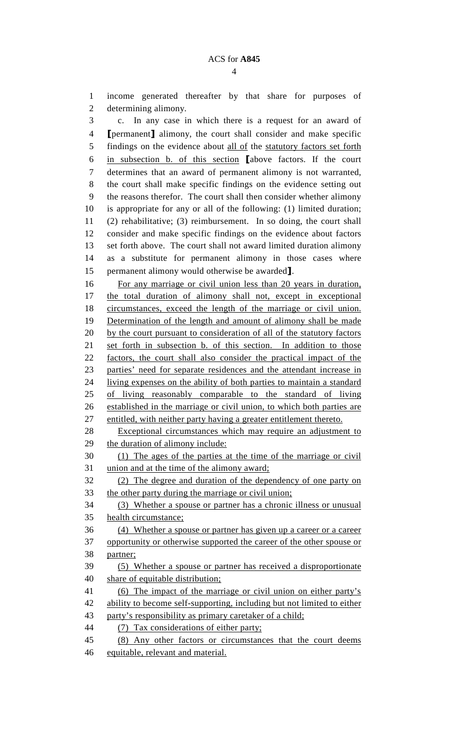$\Delta$ 

1 income generated thereafter by that share for purposes of 2 determining alimony. 3 c. In any case in which there is a request for an award of 4 [permanent] alimony, the court shall consider and make specific 5 findings on the evidence about all of the statutory factors set forth 6 in subsection b. of this section [above factors. If the court 7 determines that an award of permanent alimony is not warranted, 8 the court shall make specific findings on the evidence setting out 9 the reasons therefor. The court shall then consider whether alimony 10 is appropriate for any or all of the following: (1) limited duration; 11 (2) rehabilitative; (3) reimbursement. In so doing, the court shall 12 consider and make specific findings on the evidence about factors 13 set forth above. The court shall not award limited duration alimony 14 as a substitute for permanent alimony in those cases where 15 permanent alimony would otherwise be awarded]. 16 For any marriage or civil union less than 20 years in duration, 17 the total duration of alimony shall not, except in exceptional 18 circumstances, exceed the length of the marriage or civil union. 19 Determination of the length and amount of alimony shall be made 20 by the court pursuant to consideration of all of the statutory factors 21 set forth in subsection b. of this section. In addition to those 22 factors, the court shall also consider the practical impact of the 23 parties' need for separate residences and the attendant increase in 24 living expenses on the ability of both parties to maintain a standard 25 of living reasonably comparable to the standard of living 26 established in the marriage or civil union, to which both parties are 27 entitled, with neither party having a greater entitlement thereto. 28 Exceptional circumstances which may require an adjustment to 29 the duration of alimony include: 30 (1) The ages of the parties at the time of the marriage or civil 31 union and at the time of the alimony award; 32 (2) The degree and duration of the dependency of one party on 33 the other party during the marriage or civil union; 34 (3) Whether a spouse or partner has a chronic illness or unusual 35 health circumstance; 36 (4) Whether a spouse or partner has given up a career or a career 37 opportunity or otherwise supported the career of the other spouse or 38 partner; 39 (5) Whether a spouse or partner has received a disproportionate 40 share of equitable distribution; 41 (6) The impact of the marriage or civil union on either party's 42 ability to become self-supporting, including but not limited to either 43 party's responsibility as primary caretaker of a child; 44 (7) Tax considerations of either party; 45 (8) Any other factors or circumstances that the court deems 46 equitable, relevant and material.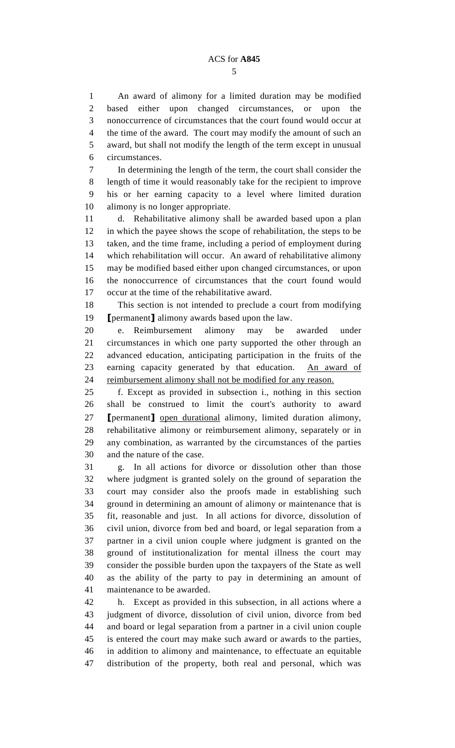5

1 An award of alimony for a limited duration may be modified 2 based either upon changed circumstances, or upon the 3 nonoccurrence of circumstances that the court found would occur at 4 the time of the award. The court may modify the amount of such an 5 award, but shall not modify the length of the term except in unusual 6 circumstances.

7 In determining the length of the term, the court shall consider the 8 length of time it would reasonably take for the recipient to improve 9 his or her earning capacity to a level where limited duration 10 alimony is no longer appropriate.

11 d. Rehabilitative alimony shall be awarded based upon a plan 12 in which the payee shows the scope of rehabilitation, the steps to be 13 taken, and the time frame, including a period of employment during 14 which rehabilitation will occur. An award of rehabilitative alimony 15 may be modified based either upon changed circumstances, or upon 16 the nonoccurrence of circumstances that the court found would 17 occur at the time of the rehabilitative award.

18 This section is not intended to preclude a court from modifying 19 **[permanent]** alimony awards based upon the law.

20 e. Reimbursement alimony may be awarded under 21 circumstances in which one party supported the other through an 22 advanced education, anticipating participation in the fruits of the 23 earning capacity generated by that education. An award of 24 reimbursement alimony shall not be modified for any reason.

25 f. Except as provided in subsection i., nothing in this section 26 shall be construed to limit the court's authority to award 27 **[permanent]** open durational alimony, limited duration alimony, 28 rehabilitative alimony or reimbursement alimony, separately or in 29 any combination, as warranted by the circumstances of the parties 30 and the nature of the case.

31 g. In all actions for divorce or dissolution other than those 32 where judgment is granted solely on the ground of separation the 33 court may consider also the proofs made in establishing such 34 ground in determining an amount of alimony or maintenance that is 35 fit, reasonable and just. In all actions for divorce, dissolution of 36 civil union, divorce from bed and board, or legal separation from a 37 partner in a civil union couple where judgment is granted on the 38 ground of institutionalization for mental illness the court may 39 consider the possible burden upon the taxpayers of the State as well 40 as the ability of the party to pay in determining an amount of 41 maintenance to be awarded.

42 h. Except as provided in this subsection, in all actions where a 43 judgment of divorce, dissolution of civil union, divorce from bed 44 and board or legal separation from a partner in a civil union couple 45 is entered the court may make such award or awards to the parties, 46 in addition to alimony and maintenance, to effectuate an equitable 47 distribution of the property, both real and personal, which was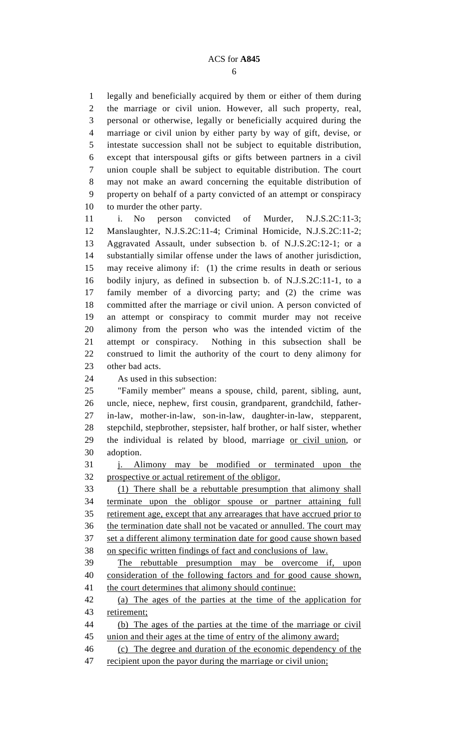6

1 legally and beneficially acquired by them or either of them during 2 the marriage or civil union. However, all such property, real, 3 personal or otherwise, legally or beneficially acquired during the 4 marriage or civil union by either party by way of gift, devise, or 5 intestate succession shall not be subject to equitable distribution, 6 except that interspousal gifts or gifts between partners in a civil 7 union couple shall be subject to equitable distribution. The court 8 may not make an award concerning the equitable distribution of 9 property on behalf of a party convicted of an attempt or conspiracy 10 to murder the other party.

11 i. No person convicted of Murder, N.J.S.2C:11-3; 12 Manslaughter, N.J.S.2C:11-4; Criminal Homicide, N.J.S.2C:11-2; 13 Aggravated Assault, under subsection b. of N.J.S.2C:12-1; or a 14 substantially similar offense under the laws of another jurisdiction, 15 may receive alimony if: (1) the crime results in death or serious 16 bodily injury, as defined in subsection b. of N.J.S.2C:11-1, to a 17 family member of a divorcing party; and (2) the crime was 18 committed after the marriage or civil union. A person convicted of 19 an attempt or conspiracy to commit murder may not receive 20 alimony from the person who was the intended victim of the 21 attempt or conspiracy. Nothing in this subsection shall be 22 construed to limit the authority of the court to deny alimony for 23 other bad acts.

24 As used in this subsection:

25 "Family member" means a spouse, child, parent, sibling, aunt, 26 uncle, niece, nephew, first cousin, grandparent, grandchild, father-27 in-law, mother-in-law, son-in-law, daughter-in-law, stepparent, 28 stepchild, stepbrother, stepsister, half brother, or half sister, whether 29 the individual is related by blood, marriage or civil union, or 30 adoption.

31 j. Alimony may be modified or terminated upon the 32 prospective or actual retirement of the obligor.

33 (1) There shall be a rebuttable presumption that alimony shall 34 terminate upon the obligor spouse or partner attaining full 35 retirement age, except that any arrearages that have accrued prior to 36 the termination date shall not be vacated or annulled. The court may 37 set a different alimony termination date for good cause shown based 38 on specific written findings of fact and conclusions of law.

39 The rebuttable presumption may be overcome if, upon 40 consideration of the following factors and for good cause shown, 41 the court determines that alimony should continue:

42 (a) The ages of the parties at the time of the application for 43 retirement;

44 (b) The ages of the parties at the time of the marriage or civil 45 union and their ages at the time of entry of the alimony award;

46 (c) The degree and duration of the economic dependency of the 47 recipient upon the payor during the marriage or civil union;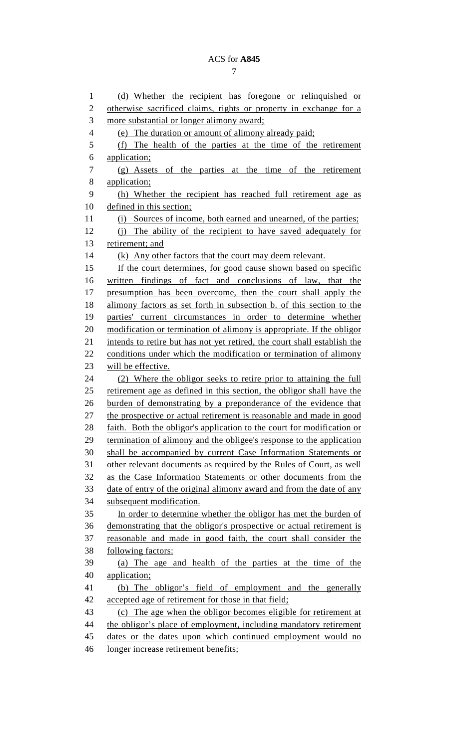1 (d) Whether the recipient has foregone or relinquished or 2 otherwise sacrificed claims, rights or property in exchange for a 3 more substantial or longer alimony award; 4 (e) The duration or amount of alimony already paid; 5 (f) The health of the parties at the time of the retirement 6 application; 7 (g) Assets of the parties at the time of the retirement 8 application; 9 (h) Whether the recipient has reached full retirement age as 10 defined in this section; 11 (i) Sources of income, both earned and unearned, of the parties; 12 (j) The ability of the recipient to have saved adequately for 13 retirement; and 14 (k) Any other factors that the court may deem relevant. 15 If the court determines, for good cause shown based on specific 16 written findings of fact and conclusions of law, that the 17 presumption has been overcome, then the court shall apply the 18 alimony factors as set forth in subsection b. of this section to the 19 parties' current circumstances in order to determine whether 20 modification or termination of alimony is appropriate. If the obligor 21 intends to retire but has not yet retired, the court shall establish the 22 conditions under which the modification or termination of alimony 23 will be effective. 24 (2) Where the obligor seeks to retire prior to attaining the full 25 retirement age as defined in this section, the obligor shall have the 26 burden of demonstrating by a preponderance of the evidence that 27 the prospective or actual retirement is reasonable and made in good 28 faith. Both the obligor's application to the court for modification or 29 termination of alimony and the obligee's response to the application 30 shall be accompanied by current Case Information Statements or 31 other relevant documents as required by the Rules of Court, as well 32 as the Case Information Statements or other documents from the 33 date of entry of the original alimony award and from the date of any 34 subsequent modification. 35 In order to determine whether the obligor has met the burden of 36 demonstrating that the obligor's prospective or actual retirement is 37 reasonable and made in good faith, the court shall consider the 38 following factors: 39 (a) The age and health of the parties at the time of the 40 application; 41 (b) The obligor's field of employment and the generally 42 accepted age of retirement for those in that field; 43 (c) The age when the obligor becomes eligible for retirement at 44 the obligor's place of employment, including mandatory retirement 45 dates or the dates upon which continued employment would no 46 longer increase retirement benefits;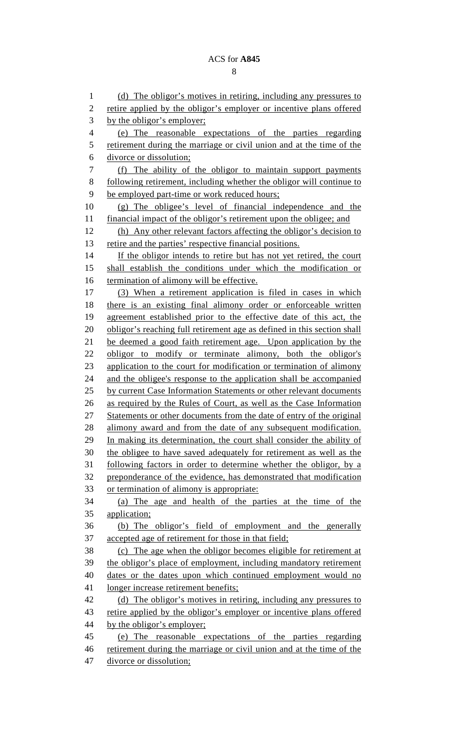8

1 (d) The obligor's motives in retiring, including any pressures to 2 retire applied by the obligor's employer or incentive plans offered 3 by the obligor's employer; 4 (e) The reasonable expectations of the parties regarding 5 retirement during the marriage or civil union and at the time of the 6 divorce or dissolution; 7 (f) The ability of the obligor to maintain support payments 8 following retirement, including whether the obligor will continue to 9 be employed part-time or work reduced hours; 10 (g) The obligee's level of financial independence and the 11 financial impact of the obligor's retirement upon the obligee; and 12 (h) Any other relevant factors affecting the obligor's decision to 13 retire and the parties' respective financial positions. 14 If the obligor intends to retire but has not yet retired, the court 15 shall establish the conditions under which the modification or 16 termination of alimony will be effective. 17 (3) When a retirement application is filed in cases in which 18 there is an existing final alimony order or enforceable written 19 agreement established prior to the effective date of this act, the 20 obligor's reaching full retirement age as defined in this section shall 21 be deemed a good faith retirement age. Upon application by the 22 obligor to modify or terminate alimony, both the obligor's 23 application to the court for modification or termination of alimony 24 and the obligee's response to the application shall be accompanied 25 by current Case Information Statements or other relevant documents 26 as required by the Rules of Court, as well as the Case Information 27 Statements or other documents from the date of entry of the original 28 alimony award and from the date of any subsequent modification. 29 In making its determination, the court shall consider the ability of 30 the obligee to have saved adequately for retirement as well as the 31 following factors in order to determine whether the obligor, by a 32 preponderance of the evidence, has demonstrated that modification 33 or termination of alimony is appropriate: 34 (a) The age and health of the parties at the time of the 35 application; 36 (b) The obligor's field of employment and the generally 37 accepted age of retirement for those in that field; 38 (c) The age when the obligor becomes eligible for retirement at 39 the obligor's place of employment, including mandatory retirement 40 dates or the dates upon which continued employment would no 41 longer increase retirement benefits; 42 (d) The obligor's motives in retiring, including any pressures to 43 retire applied by the obligor's employer or incentive plans offered 44 by the obligor's employer; 45 (e) The reasonable expectations of the parties regarding 46 retirement during the marriage or civil union and at the time of the 47 divorce or dissolution;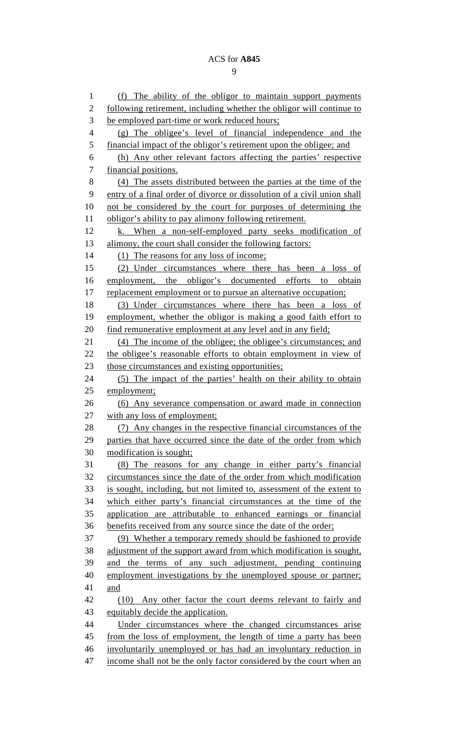$\mathbf Q$ 

1 (f) The ability of the obligor to maintain support payments 2 following retirement, including whether the obligor will continue to 3 be employed part-time or work reduced hours; 4 (g) The obligee's level of financial independence and the 5 financial impact of the obligor's retirement upon the obligee; and 6 (h) Any other relevant factors affecting the parties' respective 7 financial positions. 8 (4) The assets distributed between the parties at the time of the 9 entry of a final order of divorce or dissolution of a civil union shall 10 not be considered by the court for purposes of determining the 11 obligor's ability to pay alimony following retirement. 12 k. When a non-self-employed party seeks modification of 13 alimony, the court shall consider the following factors: 14 (1) The reasons for any loss of income; 15 (2) Under circumstances where there has been a loss of 16 employment, the obligor's documented efforts to obtain 17 replacement employment or to pursue an alternative occupation; 18 (3) Under circumstances where there has been a loss of 19 employment, whether the obligor is making a good faith effort to 20 find remunerative employment at any level and in any field; 21 (4) The income of the obligee; the obligee's circumstances; and 22 the obligee's reasonable efforts to obtain employment in view of 23 those circumstances and existing opportunities; 24 (5) The impact of the parties' health on their ability to obtain 25 employment; 26 (6) Any severance compensation or award made in connection 27 with any loss of employment; 28 (7) Any changes in the respective financial circumstances of the 29 parties that have occurred since the date of the order from which 30 modification is sought; 31 (8) The reasons for any change in either party's financial 32 circumstances since the date of the order from which modification 33 is sought, including, but not limited to, assessment of the extent to 34 which either party's financial circumstances at the time of the 35 application are attributable to enhanced earnings or financial 36 benefits received from any source since the date of the order; 37 (9) Whether a temporary remedy should be fashioned to provide 38 adjustment of the support award from which modification is sought, 39 and the terms of any such adjustment, pending continuing 40 employment investigations by the unemployed spouse or partner; 41 and 42 (10) Any other factor the court deems relevant to fairly and 43 equitably decide the application. 44 Under circumstances where the changed circumstances arise 45 from the loss of employment, the length of time a party has been 46 involuntarily unemployed or has had an involuntary reduction in 47 income shall not be the only factor considered by the court when an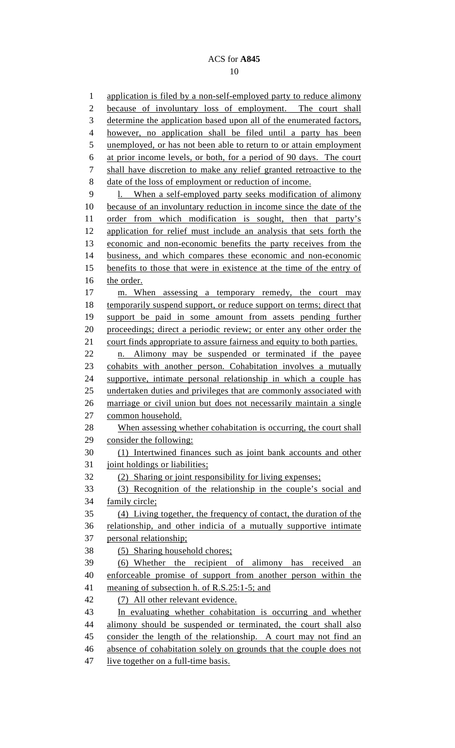10

1 application is filed by a non-self-employed party to reduce alimony 2 because of involuntary loss of employment. The court shall 3 determine the application based upon all of the enumerated factors, 4 however, no application shall be filed until a party has been 5 unemployed, or has not been able to return to or attain employment 6 at prior income levels, or both, for a period of 90 days. The court 7 shall have discretion to make any relief granted retroactive to the 8 date of the loss of employment or reduction of income. 9 1. When a self-employed party seeks modification of alimony 10 because of an involuntary reduction in income since the date of the 11 order from which modification is sought, then that party's 12 application for relief must include an analysis that sets forth the 13 economic and non-economic benefits the party receives from the 14 business, and which compares these economic and non-economic 15 benefits to those that were in existence at the time of the entry of 16 the order. 17 m. When assessing a temporary remedy, the court may 18 temporarily suspend support, or reduce support on terms; direct that 19 support be paid in some amount from assets pending further 20 proceedings; direct a periodic review; or enter any other order the 21 court finds appropriate to assure fairness and equity to both parties. 22 n. Alimony may be suspended or terminated if the payee 23 cohabits with another person. Cohabitation involves a mutually 24 supportive, intimate personal relationship in which a couple has 25 undertaken duties and privileges that are commonly associated with 26 marriage or civil union but does not necessarily maintain a single 27 common household. 28 When assessing whether cohabitation is occurring, the court shall 29 consider the following: 30 (1) Intertwined finances such as joint bank accounts and other 31 joint holdings or liabilities; 32 (2) Sharing or joint responsibility for living expenses; 33 (3) Recognition of the relationship in the couple's social and 34 family circle; 35 (4) Living together, the frequency of contact, the duration of the 36 relationship, and other indicia of a mutually supportive intimate 37 personal relationship; 38 (5) Sharing household chores; 39 (6) Whether the recipient of alimony has received an 40 enforceable promise of support from another person within the 41 meaning of subsection h. of R.S.25:1-5; and 42 (7) All other relevant evidence. 43 In evaluating whether cohabitation is occurring and whether 44 alimony should be suspended or terminated, the court shall also 45 consider the length of the relationship. A court may not find an 46 absence of cohabitation solely on grounds that the couple does not 47 live together on a full-time basis.